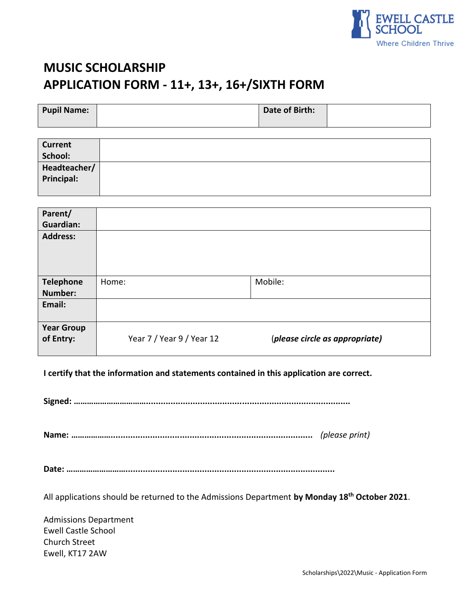

# **MUSIC SCHOLARSHIP APPLICATION FORM - 11+, 13+, 16+/SIXTH FORM**

| <b>Pupil Name:</b> | Date of Birth: |  |
|--------------------|----------------|--|
|                    |                |  |

| <b>Current</b> |  |
|----------------|--|
| School:        |  |
| Headteacher/   |  |
| Principal:     |  |
|                |  |

| Parent/<br><b>Guardian:</b>        |                           |                                |
|------------------------------------|---------------------------|--------------------------------|
| <b>Address:</b>                    |                           |                                |
| <b>Telephone</b><br><b>Number:</b> | Home:                     | Mobile:                        |
| Email:                             |                           |                                |
| <b>Year Group</b><br>of Entry:     | Year 7 / Year 9 / Year 12 | (please circle as appropriate) |

**I certify that the information and statements contained in this application are correct.**

**Signed: ……………………………...................................................................................** 

**Name: ………………..................................................................................** *(please print)*

**Date: ……………………….....................................................................................**

All applications should be returned to the Admissions Department **by Monday 18 th October 2021**.

Admissions Department Ewell Castle School Church Street Ewell, KT17 2AW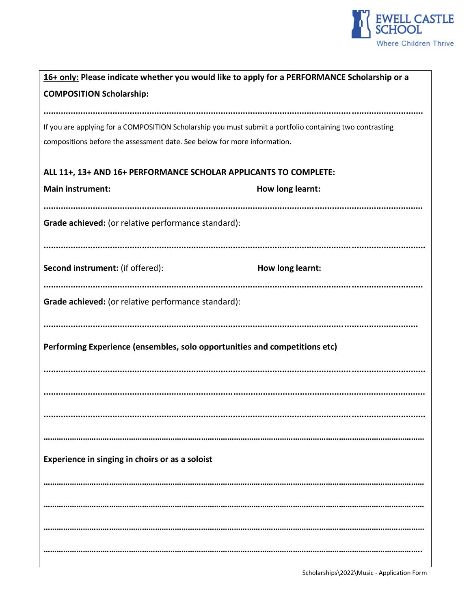

| 16+ only: Please indicate whether you would like to apply for a PERFORMANCE Scholarship or a             |                  |  |  |  |  |
|----------------------------------------------------------------------------------------------------------|------------------|--|--|--|--|
| <b>COMPOSITION Scholarship:</b>                                                                          |                  |  |  |  |  |
|                                                                                                          |                  |  |  |  |  |
| If you are applying for a COMPOSITION Scholarship you must submit a portfolio containing two contrasting |                  |  |  |  |  |
| compositions before the assessment date. See below for more information.                                 |                  |  |  |  |  |
|                                                                                                          |                  |  |  |  |  |
| ALL 11+, 13+ AND 16+ PERFORMANCE SCHOLAR APPLICANTS TO COMPLETE:                                         |                  |  |  |  |  |
| <b>Main instrument:</b>                                                                                  | How long learnt: |  |  |  |  |
|                                                                                                          |                  |  |  |  |  |
|                                                                                                          |                  |  |  |  |  |
| Grade achieved: (or relative performance standard):                                                      |                  |  |  |  |  |
|                                                                                                          |                  |  |  |  |  |
|                                                                                                          |                  |  |  |  |  |
| Second instrument: (if offered):                                                                         | How long learnt: |  |  |  |  |
|                                                                                                          |                  |  |  |  |  |
| Grade achieved: (or relative performance standard):                                                      |                  |  |  |  |  |
|                                                                                                          |                  |  |  |  |  |
|                                                                                                          |                  |  |  |  |  |
| Performing Experience (ensembles, solo opportunities and competitions etc)                               |                  |  |  |  |  |
|                                                                                                          |                  |  |  |  |  |
|                                                                                                          |                  |  |  |  |  |
|                                                                                                          |                  |  |  |  |  |
|                                                                                                          |                  |  |  |  |  |
|                                                                                                          |                  |  |  |  |  |
|                                                                                                          |                  |  |  |  |  |
| Experience in singing in choirs or as a soloist                                                          |                  |  |  |  |  |
|                                                                                                          |                  |  |  |  |  |
|                                                                                                          |                  |  |  |  |  |
|                                                                                                          |                  |  |  |  |  |
|                                                                                                          |                  |  |  |  |  |
|                                                                                                          |                  |  |  |  |  |
|                                                                                                          |                  |  |  |  |  |
|                                                                                                          |                  |  |  |  |  |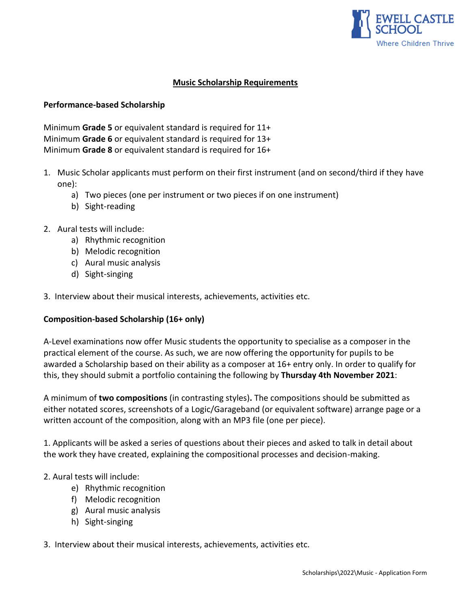

## **Music Scholarship Requirements**

## **Performance-based Scholarship**

Minimum **Grade 5** or equivalent standard is required for 11+ Minimum **Grade 6** or equivalent standard is required for 13+ Minimum **Grade 8** or equivalent standard is required for 16+

- 1. Music Scholar applicants must perform on their first instrument (and on second/third if they have one):
	- a) Two pieces (one per instrument or two pieces if on one instrument)
	- b) Sight-reading
- 2. Aural tests will include:
	- a) Rhythmic recognition
	- b) Melodic recognition
	- c) Aural music analysis
	- d) Sight-singing
- 3. Interview about their musical interests, achievements, activities etc.

## **Composition-based Scholarship (16+ only)**

A-Level examinations now offer Music students the opportunity to specialise as a composer in the practical element of the course. As such, we are now offering the opportunity for pupils to be awarded a Scholarship based on their ability as a composer at 16+ entry only. In order to qualify for this, they should submit a portfolio containing the following by **Thursday 4th November 2021**:

A minimum of **two compositions** (in contrasting styles)**.** The compositions should be submitted as either notated scores, screenshots of a Logic/Garageband (or equivalent software) arrange page or a written account of the composition, along with an MP3 file (one per piece).

1. Applicants will be asked a series of questions about their pieces and asked to talk in detail about the work they have created, explaining the compositional processes and decision-making.

#### 2. Aural tests will include:

- e) Rhythmic recognition
- f) Melodic recognition
- g) Aural music analysis
- h) Sight-singing

#### 3. Interview about their musical interests, achievements, activities etc.